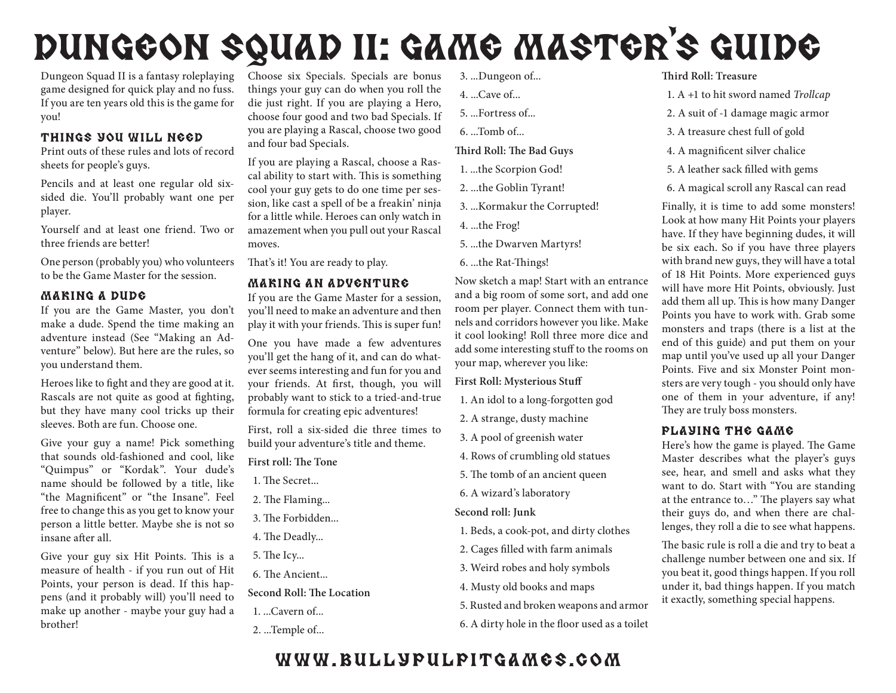# DUNGEON SQUAD II: GAME MASTER'S GUIDE

Dungeon Squad II is a fantasy roleplaying game designed for quick play and no fuss. If you are ten years old this is the game for you!

## Things You Will Need

Print outs of these rules and lots of record sheets for people's guys.

Pencils and at least one regular old sixsided die. You'll probably want one per player.

Yourself and at least one friend. Two or three friends are better!

One person (probably you) who volunteers to be the Game Master for the session.

## Making a Dude

If you are the Game Master, you don't make a dude. Spend the time making an adventure instead (See "Making an Adventure" below). But here are the rules, so you understand them.

Heroes like to fight and they are good at it. Rascals are not quite as good at fighting, but they have many cool tricks up their sleeves. Both are fun. Choose one.

Give your guy a name! Pick something that sounds old-fashioned and cool, like "Quimpus" or "Kordak". Your dude's name should be followed by a title, like "the Magnificent" or "the Insane". Feel free to change this as you get to know your person a little better. Maybe she is not so insane after all.

Give your guy six Hit Points. This is a measure of health - if you run out of Hit Points, your person is dead. If this happens (and it probably will) you'll need to make up another - maybe your guy had a brother!

Choose six Specials. Specials are bonus things your guy can do when you roll the die just right. If you are playing a Hero, choose four good and two bad Specials. If you are playing a Rascal, choose two good and four bad Specials.

If you are playing a Rascal, choose a Rascal ability to start with. This is something cool your guy gets to do one time per session, like cast a spell of be a freakin' ninja for a little while. Heroes can only watch in amazement when you pull out your Rascal moves.

That's it! You are ready to play.

#### Making an Adventure

If you are the Game Master for a session, you'll need to make an adventure and then play it with your friends. This is super fun!

One you have made a few adventures you'll get the hang of it, and can do whatever seems interesting and fun for you and your friends. At first, though, you will probably want to stick to a tried-and-true formula for creating epic adventures!

First, roll a six-sided die three times to build your adventure's title and theme.

- **First roll: The Tone**
- 1. The Secret...
- 2. The Flaming...
- 3. The Forbidden...
- 4. The Deadly...
- 5. The Icy...

6. The Ancient...

**Second Roll: The Location**

- 1. ...Cavern of...
- 2. ...Temple of...
- 3. ...Dungeon of...
- 4. ...Cave of...
- 5. ...Fortress of...
- 6. ...Tomb of...

**Third Roll: The Bad Guys**

- 1. ...the Scorpion God!
- 2. ...the Goblin Tyrant!
- 3. ...Kormakur the Corrupted!
- 4. ...the Frog!
- 5. ...the Dwarven Martyrs!
- 6. ...the Rat-Things!

Now sketch a map! Start with an entrance and a big room of some sort, and add one room per player. Connect them with tunnels and corridors however you like. Make it cool looking! Roll three more dice and add some interesting stuff to the rooms on your map, wherever you like:

**First Roll: Mysterious Stuff**

- 1. An idol to a long-forgotten god
- 2. A strange, dusty machine
- 3. A pool of greenish water
- 4. Rows of crumbling old statues
- 5. The tomb of an ancient queen
- 6. A wizard's laboratory

**Second roll: Junk**

- 1. Beds, a cook-pot, and dirty clothes
- 2. Cages filled with farm animals
- 3. Weird robes and holy symbols
- 4. Musty old books and maps
- 5. Rusted and broken weapons and armor
- 6. A dirty hole in the floor used as a toilet

#### **Third Roll: Treasure**

- 1. A +1 to hit sword named *Trollcap*
- 2. A suit of -1 damage magic armor
- 3. A treasure chest full of gold
- 4. A magnificent silver chalice
- 5. A leather sack filled with gems
- 6. A magical scroll any Rascal can read

Finally, it is time to add some monsters! Look at how many Hit Points your players have. If they have beginning dudes, it will be six each. So if you have three players with brand new guys, they will have a total of 18 Hit Points. More experienced guys will have more Hit Points, obviously. Just add them all up. This is how many Danger Points you have to work with. Grab some monsters and traps (there is a list at the end of this guide) and put them on your map until you've used up all your Danger Points. Five and six Monster Point monsters are very tough - you should only have one of them in your adventure, if any! They are truly boss monsters.

## Playing the Game

Here's how the game is played. The Game Master describes what the player's guys see, hear, and smell and asks what they want to do. Start with "You are standing at the entrance to…" The players say what their guys do, and when there are challenges, they roll a die to see what happens.

The basic rule is roll a die and try to beat a challenge number between one and six. If you beat it, good things happen. If you roll under it, bad things happen. If you match it exactly, something special happens.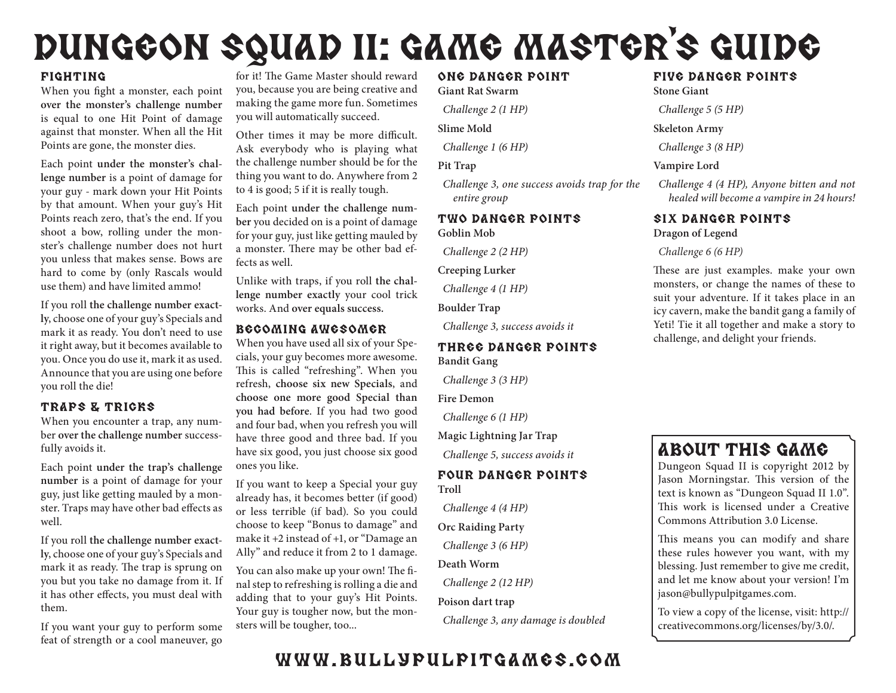# DUNGEON SQUAD II: GAME MASTER'S GUIDE

#### Fighting

When you fight a monster, each point **over the monster's challenge number**  is equal to one Hit Point of damage against that monster. When all the Hit Points are gone, the monster dies.

Each point **under the monster's challenge number** is a point of damage for your guy - mark down your Hit Points by that amount. When your guy's Hit Points reach zero, that's the end. If you shoot a bow, rolling under the monster's challenge number does not hurt you unless that makes sense. Bows are hard to come by (only Rascals would use them) and have limited ammo!

If you roll **the challenge number exactly**, choose one of your guy's Specials and mark it as ready. You don't need to use it right away, but it becomes available to you. Once you do use it, mark it as used. Announce that you are using one before you roll the die!

## Traps & Tricks

When you encounter a trap, any number **over the challenge number** successfully avoids it.

Each point **under the trap's challenge number** is a point of damage for your guy, just like getting mauled by a monster. Traps may have other bad effects as well.

If you roll **the challenge number exactly**, choose one of your guy's Specials and mark it as ready. The trap is sprung on you but you take no damage from it. If it has other effects, you must deal with them.

If you want your guy to perform some feat of strength or a cool maneuver, go

for it! The Game Master should reward you, because you are being creative and making the game more fun. Sometimes you will automatically succeed.

Other times it may be more difficult. Ask everybody who is playing what the challenge number should be for the thing you want to do. Anywhere from 2 to 4 is good; 5 if it is really tough.

Each point **under the challenge number** you decided on is a point of damage for your guy, just like getting mauled by a monster. There may be other bad effects as well.

Unlike with traps, if you roll **the challenge number exactly** your cool trick works. And **over equals success.**

## Becoming Awesomer

When you have used all six of your Specials, your guy becomes more awesome. This is called "refreshing". When you refresh, **choose six new Specials**, and **choose one more good Special than you had before**. If you had two good and four bad, when you refresh you will have three good and three bad. If you have six good, you just choose six good ones you like.

If you want to keep a Special your guy already has, it becomes better (if good) or less terrible (if bad). So you could choose to keep "Bonus to damage" and make it +2 instead of +1, or "Damage an Ally" and reduce it from 2 to 1 damage.

You can also make up your own! The final step to refreshing is rolling a die and adding that to your guy's Hit Points. Your guy is tougher now, but the monsters will be tougher, too...

#### One DANGER Point **Giant Rat Swarm**

*Challenge 2 (1 HP)*

**Slime Mold**

*Challenge 1 (6 HP)*

#### **Pit Trap**

*Challenge 3, one success avoids trap for the entire group*

## Two DANGER Points **Goblin Mob**

*Challenge 2 (2 HP)*

**Creeping Lurker**

*Challenge 4 (1 HP)*

**Boulder Trap**

*Challenge 3, success avoids it*

## Three DANGER Points **Bandit Gang**

*Challenge 3 (3 HP)*

**Fire Demon**

*Challenge 6 (1 HP)*

**Magic Lightning Jar Trap**

*Challenge 5, success avoids it*

#### Four DANGER Points **Troll**

*Challenge 4 (4 HP)*

**Orc Raiding Party**

*Challenge 3 (6 HP)*

**Death Worm**

*Challenge 2 (12 HP)*

**Poison dart trap**

*Challenge 3, any damage is doubled*

## Five DANGER Points

**Stone Giant**

*Challenge 5 (5 HP)*

**Skeleton Army**

*Challenge 3 (8 HP)*

**Vampire Lord**

*Challenge 4 (4 HP), Anyone bitten and not healed will become a vampire in 24 hours!*

#### Six DANGER Points **Dragon of Legend**

#### *Challenge 6 (6 HP)*

These are just examples. make your own monsters, or change the names of these to suit your adventure. If it takes place in an icy cavern, make the bandit gang a family of Yeti! Tie it all together and make a story to challenge, and delight your friends.

## About this game

Dungeon Squad II is copyright 2012 by Jason Morningstar. This version of the text is known as "Dungeon Squad II 1.0". This work is licensed under a Creative Commons Attribution 3.0 License.

This means you can modify and share these rules however you want, with my blessing. Just remember to give me credit, and let me know about your version! I'm jason@bullypulpitgames.com.

To view a copy of the license, visit: http:// creativecommons.org/licenses/by/3.0/.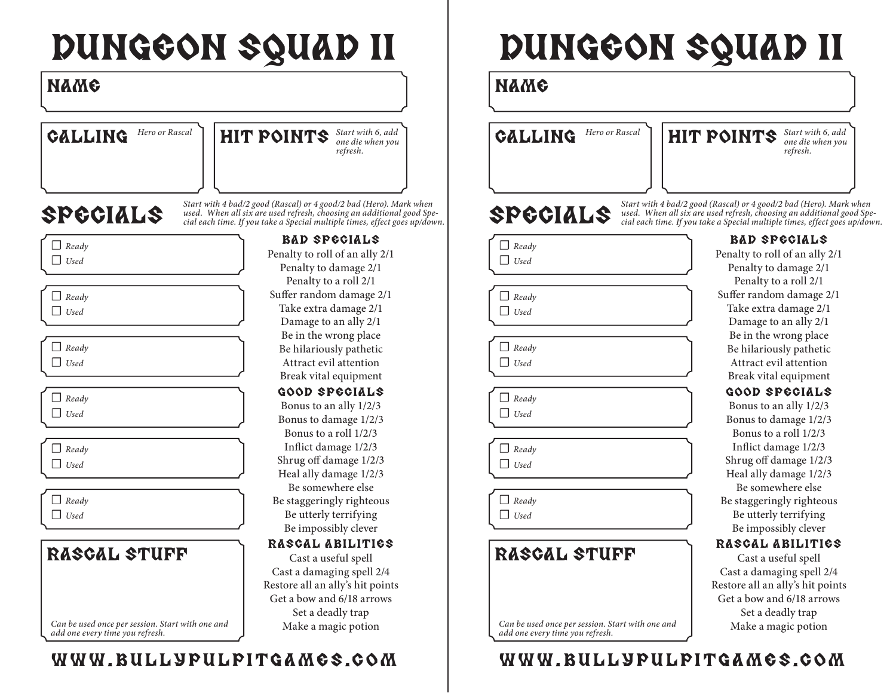# DUNGEON SQUAD II

## Name

CALLING

Hero or Rascal **HIT POINTS** *Start with 6, add one die when you one die when you refresh.*

## SPECIALS

*Start with 4 bad/2 good (Rascal) or 4 good/2 bad (Hero). Mark when used. When all six are used refresh, choosing an additional good Special each time. If you take a Special multiple times, effect goes up/down.*

| Ready |
|-------|
| Used  |

☐ *Ready* ☐ *Used*

☐ *Ready* ☐ *Used*

☐ *Ready* ☐ *Used*

☐ *Ready* ☐ *Used*

☐ *Ready* ☐ *Used*

## RASCAL STUFF

*Can be used once per session. Start with one and add one every time you refresh.*

## www.bullypulpitgames.com

## Bad specials

Penalty to roll of an ally 2/1 Penalty to damage 2/1 Penalty to a roll 2/1 Suffer random damage 2/1 Take extra damage 2/1 Damage to an ally 2/1 Be in the wrong place Be hilariously pathetic Attract evil attention Break vital equipment

Good specials

Bonus to an ally 1/2/3 Bonus to damage 1/2/3 Bonus to a roll 1/2/3 Inflict damage 1/2/3 Shrug off damage 1/2/3 Heal ally damage 1/2/3 Be somewhere else Be staggeringly righteous Be utterly terrifying Be impossibly clever

## Rascal Abilities

Cast a useful spell Cast a damaging spell 2/4 Restore all an ally's hit points Get a bow and 6/18 arrows Set a deadly trap Make a magic potion

# DUNGEON SQUAD II

## Name

CALLING



## SPECIALS

☐ *Ready* ☐ *Used*

☐ *Ready* ☐ *Used*

☐ *Ready* ☐ *Used*

|  | Ready |
|--|-------|
|  | Used  |

☐ *Ready* ☐ *Used*

☐ *Ready* ☐ *Used*

## RASCAL STUFF

*Can be used once per session. Start with one and add one every time you refresh.*

## www.bullypulpitgames.com

Bad specials *Start with 4 bad/2 good (Rascal) or 4 good/2 bad (Hero). Mark when used. When all six are used refresh, choosing an additional good Special each time. If you take a Special multiple times, effect goes up/down.*

Penalty to roll of an ally 2/1 Penalty to damage 2/1 Penalty to a roll 2/1 Suffer random damage 2/1 Take extra damage 2/1 Damage to an ally 2/1 Be in the wrong place Be hilariously pathetic Attract evil attention Break vital equipment Good specials

## Bonus to an ally 1/2/3

Bonus to damage 1/2/3 Bonus to a roll 1/2/3 Inflict damage 1/2/3 Shrug off damage 1/2/3 Heal ally damage 1/2/3 Be somewhere else Be staggeringly righteous Be utterly terrifying Be impossibly clever

## Rascal Abilities

Cast a useful spell Cast a damaging spell 2/4 Restore all an ally's hit points Get a bow and 6/18 arrows Set a deadly trap Make a magic potion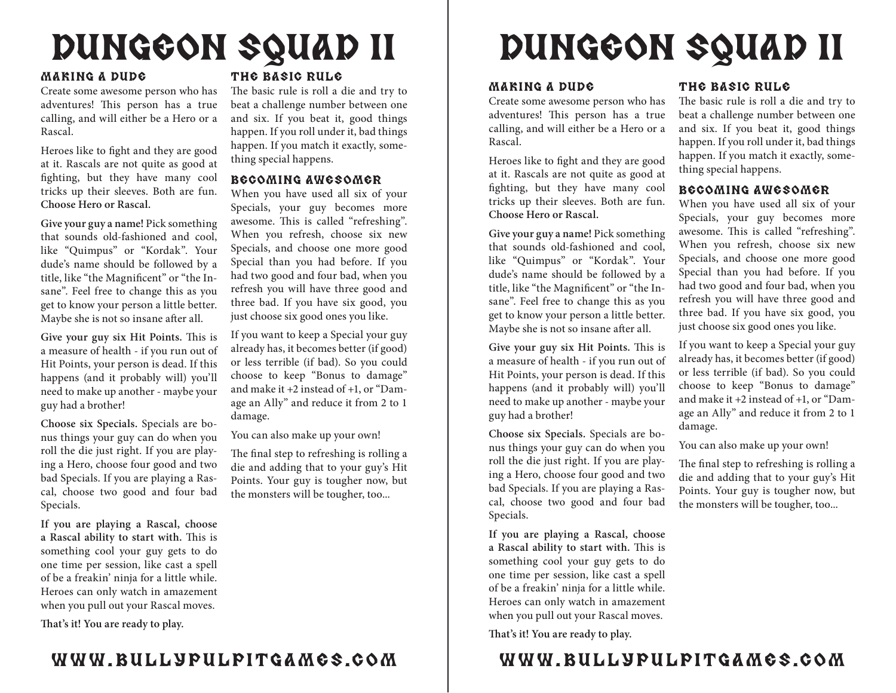## DUNGEON SQUAD II

#### Making a Dude

Create some awesome person who has adventures! This person has a true calling, and will either be a Hero or a Rascal.

Heroes like to fight and they are good at it. Rascals are not quite as good at fighting, but they have many cool tricks up their sleeves. Both are fun. **Choose Hero or Rascal.**

**Give your guy a name!** Pick something that sounds old-fashioned and cool, like "Quimpus" or "Kordak". Your dude's name should be followed by a title, like "the Magnificent" or "the Insane". Feel free to change this as you get to know your person a little better. Maybe she is not so insane after all.

**Give your guy six Hit Points.** This is a measure of health - if you run out of Hit Points, your person is dead. If this happens (and it probably will) you'll need to make up another - maybe your guy had a brother!

**Choose six Specials.** Specials are bonus things your guy can do when you roll the die just right. If you are playing a Hero, choose four good and two bad Specials. If you are playing a Rascal, choose two good and four bad Specials.

**If you are playing a Rascal, choose a Rascal ability to start with.** This is something cool your guy gets to do one time per session, like cast a spell of be a freakin' ninja for a little while. Heroes can only watch in amazement when you pull out your Rascal moves.

**That's it! You are ready to play.**

## The Basic Rule

The basic rule is roll a die and try to beat a challenge number between one and six. If you beat it, good things happen. If you roll under it, bad things happen. If you match it exactly, something special happens.

## Becoming Awesomer

When you have used all six of your Specials, your guy becomes more awesome. This is called "refreshing". When you refresh, choose six new Specials, and choose one more good Special than you had before. If you had two good and four bad, when you refresh you will have three good and three bad. If you have six good, you just choose six good ones you like.

If you want to keep a Special your guy already has, it becomes better (if good) or less terrible (if bad). So you could choose to keep "Bonus to damage" and make it +2 instead of +1, or "Damage an Ally" and reduce it from 2 to 1 damage.

You can also make up your own!

The final step to refreshing is rolling a die and adding that to your guy's Hit Points. Your guy is tougher now, but the monsters will be tougher, too...

# DUNGEON SQUAD II

#### Making a Dude

Create some awesome person who has adventures! This person has a true calling, and will either be a Hero or a Rascal.

Heroes like to fight and they are good at it. Rascals are not quite as good at fighting, but they have many cool tricks up their sleeves. Both are fun. **Choose Hero or Rascal.**

**Give your guy a name!** Pick something that sounds old-fashioned and cool, like "Quimpus" or "Kordak". Your dude's name should be followed by a title, like "the Magnificent" or "the Insane". Feel free to change this as you get to know your person a little better. Maybe she is not so insane after all.

**Give your guy six Hit Points.** This is a measure of health - if you run out of Hit Points, your person is dead. If this happens (and it probably will) you'll need to make up another - maybe your guy had a brother!

**Choose six Specials.** Specials are bonus things your guy can do when you roll the die just right. If you are playing a Hero, choose four good and two bad Specials. If you are playing a Rascal, choose two good and four bad Specials.

**If you are playing a Rascal, choose a Rascal ability to start with.** This is something cool your guy gets to do one time per session, like cast a spell of be a freakin' ninja for a little while. Heroes can only watch in amazement when you pull out your Rascal moves.

**That's it! You are ready to play.**

## The Basic Rule

The basic rule is roll a die and try to beat a challenge number between one and six. If you beat it, good things happen. If you roll under it, bad things happen. If you match it exactly, something special happens.

## Becoming Awesomer

When you have used all six of your Specials, your guy becomes more awesome. This is called "refreshing". When you refresh, choose six new Specials, and choose one more good Special than you had before. If you had two good and four bad, when you refresh you will have three good and three bad. If you have six good, you just choose six good ones you like.

If you want to keep a Special your guy already has, it becomes better (if good) or less terrible (if bad). So you could choose to keep "Bonus to damage" and make it +2 instead of +1, or "Damage an Ally" and reduce it from 2 to 1 damage.

You can also make up your own!

The final step to refreshing is rolling a die and adding that to your guy's Hit Points. Your guy is tougher now, but the monsters will be tougher, too...

## www.bullypulpitgames.com